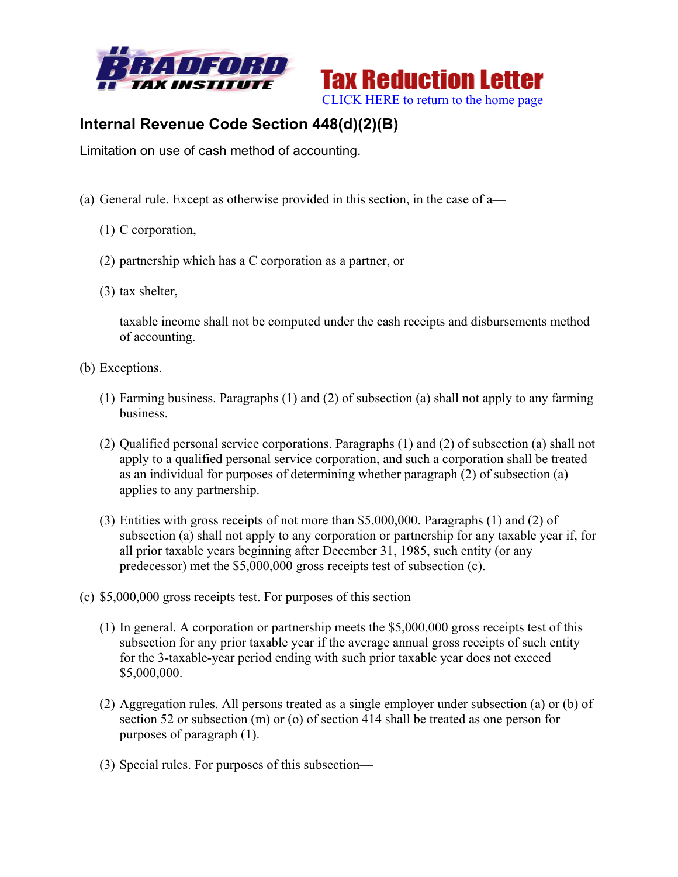



## **Internal Revenue Code Section 448(d)(2)(B)**

Limitation on use of cash method of accounting.

- (a) General rule. Except as otherwise provided in this section, in the case of a—
	- (1) C corporation,
	- (2) partnership which has a C corporation as a partner, or
	- (3) tax shelter,

taxable income shall not be computed under the cash receipts and disbursements method of accounting.

- (b) Exceptions.
	- (1) Farming business. Paragraphs (1) and (2) of subsection (a) shall not apply to any farming business.
	- (2) Qualified personal service corporations. Paragraphs (1) and (2) of subsection (a) shall not apply to a qualified personal service corporation, and such a corporation shall be treated as an individual for purposes of determining whether paragraph (2) of subsection (a) applies to any partnership.
	- (3) Entities with gross receipts of not more than \$5,000,000. Paragraphs (1) and (2) of subsection (a) shall not apply to any corporation or partnership for any taxable year if, for all prior taxable years beginning after December 31, 1985, such entity (or any predecessor) met the \$5,000,000 gross receipts test of subsection (c).
- (c) \$5,000,000 gross receipts test. For purposes of this section—
	- (1) In general. A corporation or partnership meets the \$5,000,000 gross receipts test of this subsection for any prior taxable year if the average annual gross receipts of such entity for the 3-taxable-year period ending with such prior taxable year does not exceed \$5,000,000.
	- (2) Aggregation rules. All persons treated as a single employer under subsection (a) or (b) of section 52 or subsection (m) or (o) of section 414 shall be treated as one person for purposes of paragraph (1).
	- (3) Special rules. For purposes of this subsection—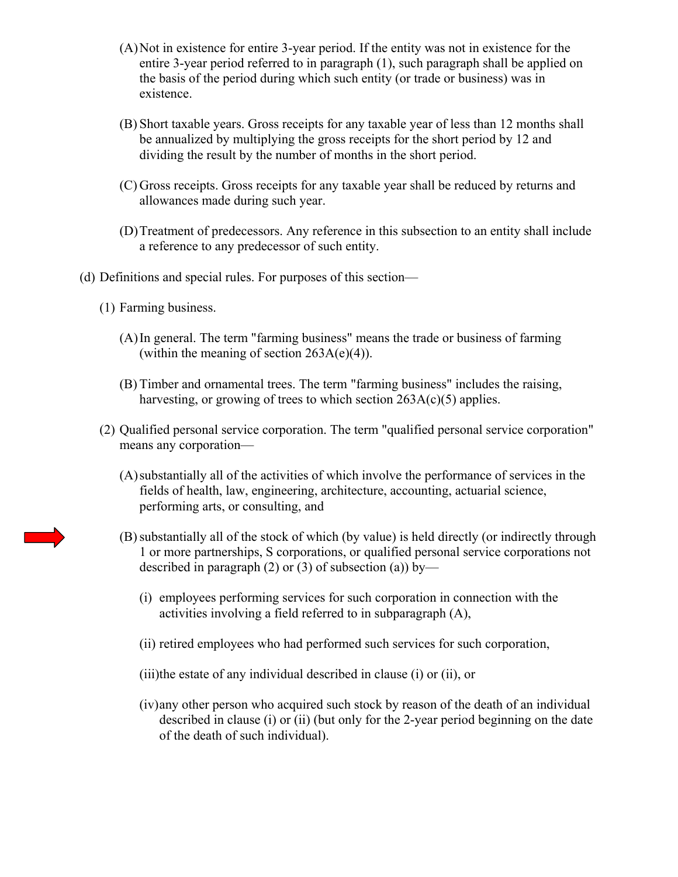- (A)Not in existence for entire 3-year period. If the entity was not in existence for the entire 3-year period referred to in paragraph (1), such paragraph shall be applied on the basis of the period during which such entity (or trade or business) was in existence.
- (B) Short taxable years. Gross receipts for any taxable year of less than 12 months shall be annualized by multiplying the gross receipts for the short period by 12 and dividing the result by the number of months in the short period.
- (C) Gross receipts. Gross receipts for any taxable year shall be reduced by returns and allowances made during such year.
- (D)Treatment of predecessors. Any reference in this subsection to an entity shall include a reference to any predecessor of such entity.
- (d) Definitions and special rules. For purposes of this section—
	- (1) Farming business.
		- (A)In general. The term "farming business" means the trade or business of farming (within the meaning of section  $263A(e)(4)$ ).
		- (B) Timber and ornamental trees. The term "farming business" includes the raising, harvesting, or growing of trees to which section  $263A(c)(5)$  applies.
	- (2) Qualified personal service corporation. The term "qualified personal service corporation" means any corporation—
		- (A)substantially all of the activities of which involve the performance of services in the fields of health, law, engineering, architecture, accounting, actuarial science, performing arts, or consulting, and
		- (B)substantially all of the stock of which (by value) is held directly (or indirectly through 1 or more partnerships, S corporations, or qualified personal service corporations not described in paragraph (2) or (3) of subsection (a)) by—
			- (i) employees performing services for such corporation in connection with the activities involving a field referred to in subparagraph (A),
			- (ii) retired employees who had performed such services for such corporation,
			- (iii)the estate of any individual described in clause (i) or (ii), or
			- (iv)any other person who acquired such stock by reason of the death of an individual described in clause (i) or (ii) (but only for the 2-year period beginning on the date of the death of such individual).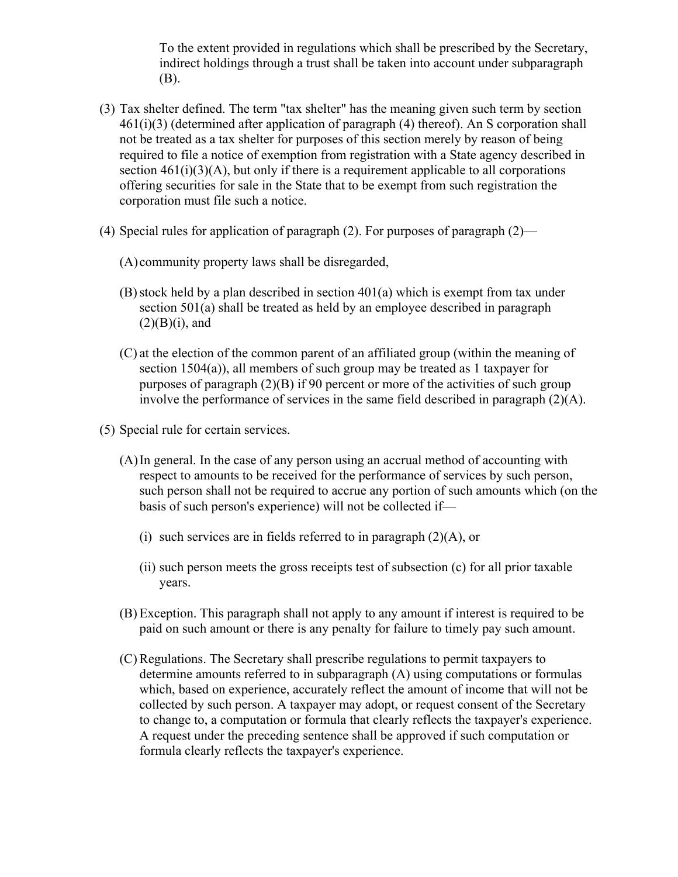To the extent provided in regulations which shall be prescribed by the Secretary, indirect holdings through a trust shall be taken into account under subparagraph (B).

- (3) Tax shelter defined. The term "tax shelter" has the meaning given such term by section  $461(i)(3)$  (determined after application of paragraph (4) thereof). An S corporation shall not be treated as a tax shelter for purposes of this section merely by reason of being required to file a notice of exemption from registration with a State agency described in section  $461(i)(3)(A)$ , but only if there is a requirement applicable to all corporations offering securities for sale in the State that to be exempt from such registration the corporation must file such a notice.
- (4) Special rules for application of paragraph (2). For purposes of paragraph (2)—
	- (A) community property laws shall be disregarded,
	- $(B)$  stock held by a plan described in section 401(a) which is exempt from tax under section 501(a) shall be treated as held by an employee described in paragraph  $(2)(B)(i)$ , and
	- (C) at the election of the common parent of an affiliated group (within the meaning of section 1504(a)), all members of such group may be treated as 1 taxpayer for purposes of paragraph (2)(B) if 90 percent or more of the activities of such group involve the performance of services in the same field described in paragraph  $(2)(A)$ .
- (5) Special rule for certain services.
	- (A)In general. In the case of any person using an accrual method of accounting with respect to amounts to be received for the performance of services by such person, such person shall not be required to accrue any portion of such amounts which (on the basis of such person's experience) will not be collected if—
		- (i) such services are in fields referred to in paragraph (2)(A), or
		- (ii) such person meets the gross receipts test of subsection (c) for all prior taxable years.
	- (B) Exception. This paragraph shall not apply to any amount if interest is required to be paid on such amount or there is any penalty for failure to timely pay such amount.
	- (C) Regulations. The Secretary shall prescribe regulations to permit taxpayers to determine amounts referred to in subparagraph (A) using computations or formulas which, based on experience, accurately reflect the amount of income that will not be collected by such person. A taxpayer may adopt, or request consent of the Secretary to change to, a computation or formula that clearly reflects the taxpayer's experience. A request under the preceding sentence shall be approved if such computation or formula clearly reflects the taxpayer's experience.